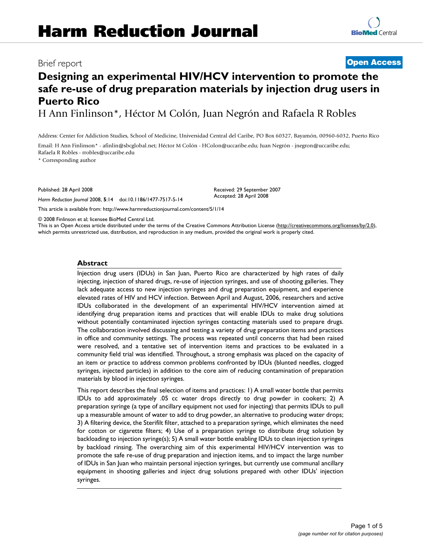# **Designing an experimental HIV/HCV intervention to promote the safe re-use of drug preparation materials by injection drug users in Puerto Rico**

H Ann Finlinson\*, Héctor M Colón, Juan Negrón and Rafaela R Robles

Address: Center for Addiction Studies, School of Medicine, Universidad Central del Caribe, PO Box 60327, Bayamón, 00960-6032, Puerto Rico

Email: H Ann Finlinson\* - afinlin@sbcglobal.net; Héctor M Colón - HColon@uccaribe.edu; Juan Negrón - jnegron@uccaribe.edu; Rafaela R Robles - rrobles@uccaribe.edu

\* Corresponding author

Published: 28 April 2008

*Harm Reduction Journal* 2008, **5**:14 doi:10.1186/1477-7517-5-14

[This article is available from: http://www.harmreductionjournal.com/content/5/1/14](http://www.harmreductionjournal.com/content/5/1/14)

© 2008 Finlinson et al; licensee BioMed Central Ltd.

This is an Open Access article distributed under the terms of the Creative Commons Attribution License [\(http://creativecommons.org/licenses/by/2.0\)](http://creativecommons.org/licenses/by/2.0), which permits unrestricted use, distribution, and reproduction in any medium, provided the original work is properly cited.

#### **Abstract**

Injection drug users (IDUs) in San Juan, Puerto Rico are characterized by high rates of daily injecting, injection of shared drugs, re-use of injection syringes, and use of shooting galleries. They lack adequate access to new injection syringes and drug preparation equipment, and experience elevated rates of HIV and HCV infection. Between April and August, 2006, researchers and active IDUs collaborated in the development of an experimental HIV/HCV intervention aimed at identifying drug preparation items and practices that will enable IDUs to make drug solutions without potentially contaminated injection syringes contacting materials used to prepare drugs. The collaboration involved discussing and testing a variety of drug preparation items and practices in office and community settings. The process was repeated until concerns that had been raised were resolved, and a tentative set of intervention items and practices to be evaluated in a community field trial was identified. Throughout, a strong emphasis was placed on the capacity of an item or practice to address common problems confronted by IDUs (blunted needles, clogged syringes, injected particles) in addition to the core aim of reducing contamination of preparation materials by blood in injection syringes.

This report describes the final selection of items and practices: 1) A small water bottle that permits IDUs to add approximately .05 cc water drops directly to drug powder in cookers; 2) A preparation syringe (a type of ancillary equipment not used for injecting) that permits IDUs to pull up a measurable amount of water to add to drug powder, an alternative to producing water drops; 3) A filtering device, the Sterifilt filter, attached to a preparation syringe, which eliminates the need for cotton or cigarette filters; 4) Use of a preparation syringe to distribute drug solution by backloading to injection syringe(s); 5) A small water bottle enabling IDUs to clean injection syringes by backload rinsing. The overarching aim of this experimental HIV/HCV intervention was to promote the safe re-use of drug preparation and injection items, and to impact the large number of IDUs in San Juan who maintain personal injection syringes, but currently use communal ancillary equipment in shooting galleries and inject drug solutions prepared with other IDUs' injection syringes.

# Brief report **[Open Access](http://www.biomedcentral.com/info/about/charter/)**

Received: 29 September 2007 Accepted: 28 April 2008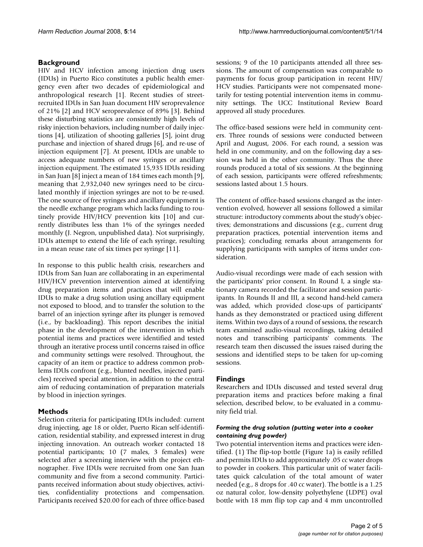# **Background**

HIV and HCV infection among injection drug users (IDUs) in Puerto Rico constitutes a public health emergency even after two decades of epidemiological and anthropological research [1]. Recent studies of streetrecruited IDUs in San Juan document HIV seroprevalence of 21% [2] and HCV seroprevalence of 89% [3]. Behind these disturbing statistics are consistently high levels of risky injection behaviors, including number of daily injections [4], utilization of shooting galleries [5], joint drug purchase and injection of shared drugs [6], and re-use of injection equipment [7]. At present, IDUs are unable to access adequate numbers of new syringes or ancillary injection equipment. The estimated 15,935 IDUs residing in San Juan [8] inject a mean of 184 times each month [9], meaning that 2,932,040 new syringes need to be circulated monthly if injection syringes are not to be re-used. The one source of free syringes and ancillary equipment is the needle exchange program which lacks funding to routinely provide HIV/HCV prevention kits [10] and currently distributes less than 1% of the syringes needed monthly (J. Negron, unpublished data). Not surprisingly, IDUs attempt to extend the life of each syringe, resulting in a mean reuse rate of six times per syringe [11].

In response to this public health crisis, researchers and IDUs from San Juan are collaborating in an experimental HIV/HCV prevention intervention aimed at identifying drug preparation items and practices that will enable IDUs to make a drug solution using ancillary equipment not exposed to blood, and to transfer the solution to the barrel of an injection syringe after its plunger is removed (i.e., by backloading). This report describes the initial phase in the development of the intervention in which potential items and practices were identified and tested through an iterative process until concerns raised in office and community settings were resolved. Throughout, the capacity of an item or practice to address common problems IDUs confront (e.g., blunted needles, injected particles) received special attention, in addition to the central aim of reducing contamination of preparation materials by blood in injection syringes.

# **Methods**

Selection criteria for participating IDUs included: current drug injecting, age 18 or older, Puerto Rican self-identification, residential stability, and expressed interest in drug injecting innovation. An outreach worker contacted 18 potential participants; 10 (7 males, 3 females) were selected after a screening interview with the project ethnographer. Five IDUs were recruited from one San Juan community and five from a second community. Participants received information about study objectives, activities, confidentiality protections and compensation. Participants received \$20.00 for each of three office-based

sessions; 9 of the 10 participants attended all three sessions. The amount of compensation was comparable to payments for focus group participation in recent HIV/ HCV studies. Participants were not compensated monetarily for testing potential intervention items in community settings. The UCC Institutional Review Board approved all study procedures.

The office-based sessions were held in community centers. Three rounds of sessions were conducted between April and August, 2006. For each round, a session was held in one community, and on the following day a session was held in the other community. Thus the three rounds produced a total of six sessions. At the beginning of each session, participants were offered refreshments; sessions lasted about 1.5 hours.

The content of office-based sessions changed as the intervention evolved, however all sessions followed a similar structure: introductory comments about the study's objectives; demonstrations and discussions (e.g., current drug preparation practices, potential intervention items and practices); concluding remarks about arrangements for supplying participants with samples of items under consideration.

Audio-visual recordings were made of each session with the participants' prior consent. In Round I, a single stationary camera recorded the facilitator and session participants. In Rounds II and III, a second hand-held camera was added, which provided close-ups of participants' hands as they demonstrated or practiced using different items. Within two days of a round of sessions, the research team examined audio-visual recordings, taking detailed notes and transcribing participants' comments. The research team then discussed the issues raised during the sessions and identified steps to be taken for up-coming sessions.

# **Findings**

Researchers and IDUs discussed and tested several drug preparation items and practices before making a final selection, described below, to be evaluated in a community field trial.

#### *Forming the drug solution (putting water into a cooker containing drug powder)*

Two potential intervention items and practices were identified. (1) The flip-top bottle (Figure 1a) is easily refilled and permits IDUs to add approximately .05 cc water drops to powder in cookers. This particular unit of water facilitates quick calculation of the total amount of water needed (e.g., 8 drops for .40 cc water). The bottle is a 1.25 oz natural color, low-density polyethylene (LDPE) oval bottle with 18 mm flip top cap and 4 mm uncontrolled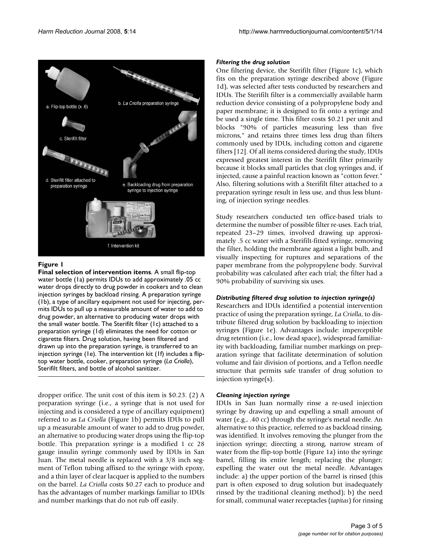

### **Figure 1**

**Final selection of intervention items**. A small flip-top water bottle (1a) permits IDUs to add approximately .05 cc water drops directly to drug powder in cookers and to clean injection syringes by backload rinsing. A preparation syringe (1b), a type of ancillary equipment not used for injecting, permits IDUs to pull up a measurable amount of water to add to drug powder, an alternative to producing water drops with the small water bottle. The Sterifilt filter (1c) attached to a preparation syringe (1d) eliminates the need for cotton or cigarette filters. Drug solution, having been filtered and drawn up into the preparation syringe, is transferred to an injection syringe (1e). The intervention kit (1f) includes a fliptop water bottle, cooker, preparation syringe (*La Criolla*), Sterifilt filters, and bottle of alcohol sanitizer.

dropper orifice. The unit cost of this item is \$0.23. (2) A preparation syringe (i.e., a syringe that is not used for injecting and is considered a type of ancillary equipment) referred to as *La Criolla* (Figure 1b) permits IDUs to pull up a measurable amount of water to add to drug powder, an alternative to producing water drops using the flip-top bottle. This preparation syringe is a modified 1 cc 28 gauge insulin syringe commonly used by IDUs in San Juan. The metal needle is replaced with a 3/8 inch segment of Teflon tubing affixed to the syringe with epoxy, and a thin layer of clear lacquer is applied to the numbers on the barrel. *La Criolla* costs \$0.27 each to produce and has the advantages of number markings familiar to IDUs and number markings that do not rub off easily.

### *Filtering the drug solution*

One filtering device, the Sterifilt filter (Figure 1c), which fits on the preparation syringe described above (Figure 1d), was selected after tests conducted by researchers and IDUs. The Sterifilt filter is a commercially available harm reduction device consisting of a polypropylene body and paper membrane; it is designed to fit onto a syringe and be used a single time. This filter costs \$0.21 per unit and blocks "90% of particles measuring less than five microns," and retains three times less drug than filters commonly used by IDUs, including cotton and cigarette filters [12]. Of all items considered during the study, IDUs expressed greatest interest in the Sterifilt filter primarily because it blocks small particles that clog syringes and, if injected, cause a painful reaction known as "cotton fever." Also, filtering solutions with a Sterifilt filter attached to a preparation syringe result in less use, and thus less blunting, of injection syringe needles.

Study researchers conducted ten office-based trials to determine the number of possible filter re-uses. Each trial, repeated 23–29 times, involved drawing up approximately .5 cc water with a Sterifilt-fitted syringe, removing the filter, holding the membrane against a light bulb, and visually inspecting for ruptures and separations of the paper membrane from the polypropylene body. Survival probability was calculated after each trial; the filter had a 90% probability of surviving six uses.

### *Distributing filtered drug solution to injection syringe(s)*

Researchers and IDUs identified a potential intervention practice of using the preparation syringe, *La Criolla*, to distribute filtered drug solution by backloading to injection syringes (Figure 1e). Advantages include: imperceptible drug retention (i.e., low dead space), widespread familiarity with backloading, familiar number markings on preparation syringe that facilitate determination of solution volume and fair division of portions, and a Teflon needle structure that permits safe transfer of drug solution to injection syringe(s).

### *Cleaning injection syringe*

IDUs in San Juan normally rinse a re-used injection syringe by drawing up and expelling a small amount of water (e.g., .40 cc) through the syringe's metal needle. An alternative to this practice, referred to as backload rinsing, was identified. It involves removing the plunger from the injection syringe; directing a strong, narrow stream of water from the flip-top bottle (Figure 1a) into the syringe barrel, filling its entire length; replacing the plunger; expelling the water out the metal needle. Advantages include: a) the upper portion of the barrel is rinsed (this part is often exposed to drug solution but inadequately rinsed by the traditional cleaning method); b) the need for small, communal water receptacles (*tapitas*) for rinsing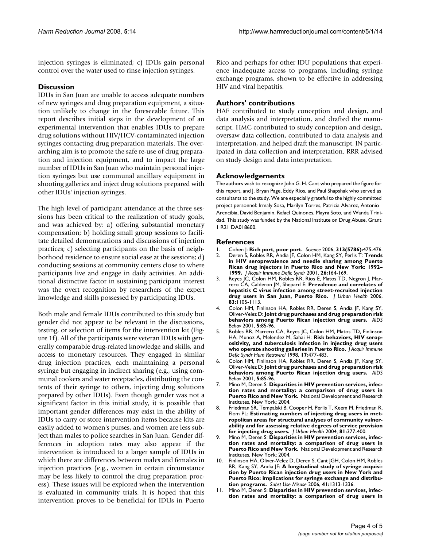injection syringes is eliminated; c) IDUs gain personal control over the water used to rinse injection syringes.

# **Discussion**

IDUs in San Juan are unable to access adequate numbers of new syringes and drug preparation equipment, a situation unlikely to change in the foreseeable future. This report describes initial steps in the development of an experimental intervention that enables IDUs to prepare drug solutions without HIV/HCV-contaminated injection syringes contacting drug preparation materials. The overarching aim is to promote the safe re-use of drug preparation and injection equipment, and to impact the large number of IDUs in San Juan who maintain personal injection syringes but use communal ancillary equipment in shooting galleries and inject drug solutions prepared with other IDUs' injection syringes.

The high level of participant attendance at the three sessions has been critical to the realization of study goals, and was achieved by: a) offering substantial monetary compensation; b) holding small group sessions to facilitate detailed demonstrations and discussions of injection practices; c) selecting participants on the basis of neighborhood residence to ensure social ease at the sessions; d) conducting sessions at community centers close to where participants live and engage in daily activities. An additional distinctive factor in sustaining participant interest was the overt recognition by researchers of the expert knowledge and skills possessed by participating IDUs.

Both male and female IDUs contributed to this study but gender did not appear to be relevant in the discussions, testing, or selection of items for the intervention kit (Figure 1f). All of the participants were veteran IDUs with generally comparable drug-related knowledge and skills, and access to monetary resources. They engaged in similar drug injection practices, each maintaining a personal syringe but engaging in indirect sharing (e.g., using communal cookers and water receptacles, distributing the contents of their syringe to others, injecting drug solutions prepared by other IDUs). Even though gender was not a significant factor in this initial study, it is possible that important gender differences may exist in the ability of IDUs to carry or store intervention items because kits are easily added to women's purses, and women are less subject than males to police searches in San Juan. Gender differences in adoption rates may also appear if the intervention is introduced to a larger sample of IDUs in which there are differences between males and females in injection practices (e.g., women in certain circumstance may be less likely to control the drug preparation process). These issues will be explored when the intervention is evaluated in community trials. It is hoped that this intervention proves to be beneficial for IDUs in Puerto Rico and perhaps for other IDU populations that experience inadequate access to programs, including syringe exchange programs, shown to be effective in addressing HIV and viral hepatitis.

## **Authors' contributions**

HAF contributed to study conception and design, and data analysis and interpretation, and drafted the manuscript. HMC contributed to study conception and design, oversaw data collection, contributed to data analysis and interpretation, and helped draft the manuscript. JN participated in data collection and interpretation. RRR advised on study design and data interpretation.

### **Acknowledgements**

The authors wish to recognize John G. H. Cant who prepared the figure for this report, and J. Bryan Page, Eddy Rios, and Paul Shapshak who served as consultants to the study. We are especially grateful to the highly committed project personnel: Irmaly Sosa, Marilyn Torres, Patricia Alvarez, Antonio Arencibia, David Benjamin, Rafael Quinones, Mayra Soto, and Wanda Trinidad. This study was funded by the National Institute on Drug Abuse, Grant 1 R21 DA018600.

### **References**

- 1. Cohen J: **[Rich port, poor port.](http://www.ncbi.nlm.nih.gov/entrez/query.fcgi?cmd=Retrieve&db=PubMed&dopt=Abstract&list_uids=16873644)** *Science* 2006, **313(5786):**475-476.
- 2. Deren S, Robles RR, Andia JF, Colon HM, Kang SY, Perlis T: **[Trends](http://www.ncbi.nlm.nih.gov/entrez/query.fcgi?cmd=Retrieve&db=PubMed&dopt=Abstract&list_uids=11242184) in HIV seroprevalence and needle sharing among Puerto [Rican drug injectors in Puerto Rico and New York: 1992–](http://www.ncbi.nlm.nih.gov/entrez/query.fcgi?cmd=Retrieve&db=PubMed&dopt=Abstract&list_uids=11242184) [1999.](http://www.ncbi.nlm.nih.gov/entrez/query.fcgi?cmd=Retrieve&db=PubMed&dopt=Abstract&list_uids=11242184)** *J Acquir Immune Defic Syndr* 2001, **26:**164-169.
- 3. Reyes JC, Colon HM, Robles RR, Rios E, Matos TD, Negron J, Marrero CA, Calderon JM, Shepard E: **[Prevalence and correlates of](http://www.ncbi.nlm.nih.gov/entrez/query.fcgi?cmd=Retrieve&db=PubMed&dopt=Abstract&list_uids=17075726) [hepatitis C virus infection among street-recruited injection](http://www.ncbi.nlm.nih.gov/entrez/query.fcgi?cmd=Retrieve&db=PubMed&dopt=Abstract&list_uids=17075726) [drug users in San Juan, Puerto Rico.](http://www.ncbi.nlm.nih.gov/entrez/query.fcgi?cmd=Retrieve&db=PubMed&dopt=Abstract&list_uids=17075726)** *J Urban Health* 2006, **83:**1105-1113.
- 4. Colon HM, Finlinson HA, Robles RR, Deren S, Andia JF, Kang SY, Oliver-Velez D: **Joint drug purchases and drug preparation risk behaviors among Puerto Rican injection drug users.** *AIDS Behav* 2001, **5:**85-96.
- 5. Robles RR, Marrero CA, Reyes JC, Colon HM, Matos TD, Finlinson HA, Munoz A, Melendez M, Sahai H: **[Risk behaviors, HIV serop](http://www.ncbi.nlm.nih.gov/entrez/query.fcgi?cmd=Retrieve&db=PubMed&dopt=Abstract&list_uids=9580534)[ositivity, and tuberculosis infection in injecting drug users](http://www.ncbi.nlm.nih.gov/entrez/query.fcgi?cmd=Retrieve&db=PubMed&dopt=Abstract&list_uids=9580534) [who operate shooting galleries in Puerto Rico.](http://www.ncbi.nlm.nih.gov/entrez/query.fcgi?cmd=Retrieve&db=PubMed&dopt=Abstract&list_uids=9580534)** *J Acquir Immune Defic Syndr Hum Retrovirol* 1998, **17:**477-483.
- 6. Colon HM, Finlinson HA, Robles RR, Deren S, Andia JF, Kang SY, Oliver-Velez D: **Joint drug purchases and drug preparation risk behaviors among Puerto Rican injection drug users.** *AIDS Behav* 2001, **5:**85-96.
- 7. Mino M, Deren S: **Disparities in HIV prevention services, infection rates and mortality: a comparison of drug users in Puerto Rico and New York.** National Development and Research Institutes, New York; 2004.
- 8. Friedman SR, Tempalski B, Cooper H, Perlis T, Keem M, Friedman R, Flom PL: **[Estimating numbers of injecting drug users in met](http://www.ncbi.nlm.nih.gov/entrez/query.fcgi?cmd=Retrieve&db=PubMed&dopt=Abstract&list_uids=15273263)ropolitan areas for structural analyses of community vulner[ability and for assessing relative degrees of service provision](http://www.ncbi.nlm.nih.gov/entrez/query.fcgi?cmd=Retrieve&db=PubMed&dopt=Abstract&list_uids=15273263) [for injecting drug users.](http://www.ncbi.nlm.nih.gov/entrez/query.fcgi?cmd=Retrieve&db=PubMed&dopt=Abstract&list_uids=15273263)** *J Urban Health* 2004, **81:**377-400.
- Mino M, Deren S: Disparities in HIV prevention services, infec**tion rates and mortality: a comparison of drug users in Puerto Rico and New York.** National Development and Research Institutes, New York; 2004.
- 10. Finlinson HA, Oliver-Velez D, Deren S, Cant JGH, Colon HM, Robles RR, Kang SY, Andia JF: **[A longitudinal study of syringe acquisi](http://www.ncbi.nlm.nih.gov/entrez/query.fcgi?cmd=Retrieve&db=PubMed&dopt=Abstract&list_uids=16861181)tion by Puerto Rican injection drug users in New York and [Puerto Rico: implications for syringe exchange and distribu](http://www.ncbi.nlm.nih.gov/entrez/query.fcgi?cmd=Retrieve&db=PubMed&dopt=Abstract&list_uids=16861181)[tion programs.](http://www.ncbi.nlm.nih.gov/entrez/query.fcgi?cmd=Retrieve&db=PubMed&dopt=Abstract&list_uids=16861181)** *Subst Use Misuse* 2006, **41:**1313-1336.
- 11. Mino M, Deren S: **Disparities in HIV prevention services, infection rates and mortality: a comparison of drug users in**